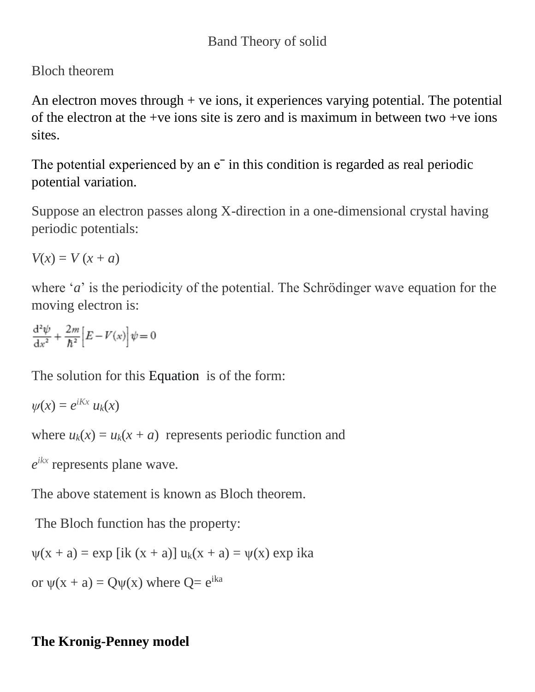## Bloch theorem

An electron moves through  $+$  ve ions, it experiences varying potential. The potential of the electron at the +ve ions site is zero and is maximum in between two +ve ions sites.

The potential experienced by an  $e^-$  in this condition is regarded as real periodic potential variation.

Suppose an electron passes along X-direction in a one-dimensional crystal having periodic potentials:

 $V(x) = V(x + a)$ 

where '*a*' is the periodicity of the potential. The Schrödinger wave equation for the moving electron is:

$$
\frac{\mathrm{d}^2\psi}{\mathrm{d}x^2} + \frac{2m}{\hbar^2} \Big[ E - V(x) \Big] \psi = 0
$$

The solution for this [Equation](https://www.oreilly.com/library/view/engineering-physics/9788131775073/xhtml/ch5-sub5.8.xhtml#img-c05e060) is of the form:

$$
\psi(x)=e^{iKx}\,u_k(x)
$$

where  $u_k(x) = u_k(x + a)$  represents periodic function and

*e ikx* represents plane wave.

The above statement is known as Bloch theorem.

The Bloch function has the property:

$$
\psi(x + a) = \exp[i k (x + a)] u_k(x + a) = \psi(x) \exp ika
$$

or  $\psi(x + a) = Q\psi(x)$  where  $Q = e^{ika}$ 

## **The Kronig-Penney model**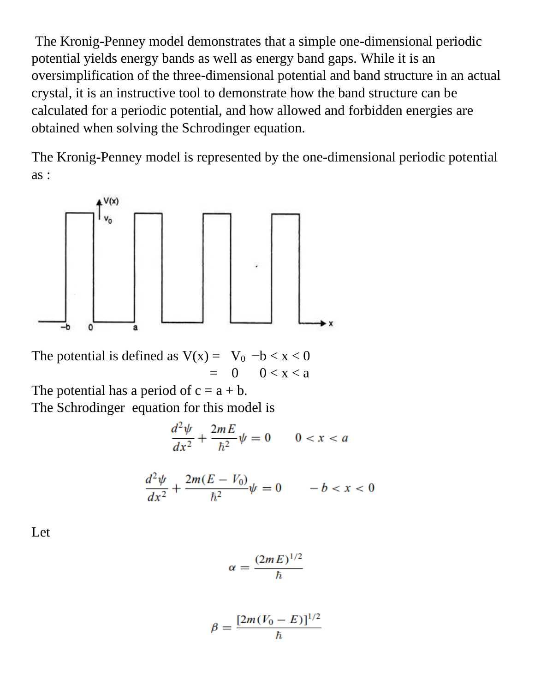The Kronig-Penney model demonstrates that a simple one-dimensional periodic potential yields energy bands as well as energy band gaps. While it is an oversimplification of the three-dimensional potential and band structure in an actual crystal, it is an instructive tool to demonstrate how the band structure can be calculated for a periodic potential, and how allowed and forbidden energies are obtained when solving the Schrodinger equation.

The Kronig-Penney model is represented by the one-dimensional periodic potential as :



The potential is defined as  $V(x) = V_0 -b < x < 0$  $= 0 0 < x < a$ 

The potential has a period of  $c = a + b$ .

The Schrodinger equation for this model is

$$
\frac{d^2\psi}{dx^2} + \frac{2mE}{\hbar^2}\psi = 0 \qquad 0 < x < a
$$

$$
\frac{d^2\psi}{dx^2} + \frac{2m(E - V_0)}{\hbar^2}\psi = 0 \qquad -b < x < 0
$$

Let

$$
\alpha = \frac{(2mE)^{1/2}}{\hbar}
$$

$$
\beta = \frac{[2m(V_0 - E)]^{1/2}}{\hbar}
$$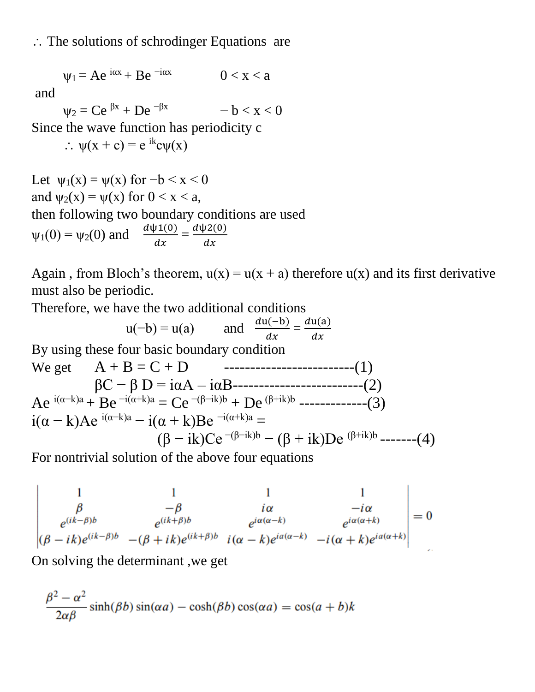## $\therefore$  The solutions of schrodinger Equations are

$$
\psi_1 = Ae^{i\alpha x} + Be^{-i\alpha x} \qquad 0 < x < a
$$

and

 $\Psi_2 = Ce^{\beta x} + De^{-\beta x}$  - b < x < 0

Since the wave function has periodicity c

 $\therefore \psi(x + c) = e^{ik}c\psi(x)$ 

Let 
$$
\psi_1(x) = \psi(x)
$$
 for  $-b < x < 0$   
and  $\psi_2(x) = \psi(x)$  for  $0 < x < a$ ,  
then following two boundary conditions are used  
 $\psi_1(0) = \psi_2(0)$  and  $\frac{d\psi_1(0)}{dx} = \frac{d\psi_2(0)}{dx}$ 

Again, from Bloch's theorem,  $u(x) = u(x + a)$  therefore  $u(x)$  and its first derivative must also be periodic.

Therefore, we have the two additional conditions

$$
u(-b) = u(a) \qquad \text{and} \quad \frac{du(-b)}{dx} = \frac{du(a)}{dx}
$$
\nBy using these four basic boundary condition

\n
$$
\text{We get} \qquad A + B = C + D \qquad \text{---}
$$
\n
$$
\beta C - \beta D = i\alpha A - i\alpha B - \text{---}
$$
\n
$$
\text{Ae}^{i(\alpha - k)a} + B e^{-i(\alpha + k)a} = C e^{-(\beta - ik)b} + D e^{(\beta + ik)b} - \text{---}
$$
\n
$$
i(\alpha - k)A e^{i(\alpha - k)a} - i(\alpha + k)Be^{-i(\alpha + k)a} =
$$
\n
$$
(\beta - ik)Ce^{-(\beta - ik)b} - (\beta + ik)De^{(\beta + ik)b} - \text{---}
$$
\n(4)

For nontrivial solution of the above four equations

$$
\begin{vmatrix}\n1 & 1 & 1 & 1 \\
\beta & -\beta & i\alpha & -i\alpha \\
e^{(ik-\beta)b} & e^{(ik+\beta)b} & e^{i\alpha(\alpha-k)} & e^{i\alpha(\alpha+k)} \\
(\beta - ik)e^{(ik-\beta)b} & -(\beta + ik)e^{(ik+\beta)b} & i(\alpha - k)e^{ia(\alpha-k)} & -i(\alpha + k)e^{ia(\alpha+k)}\n\end{vmatrix} = 0
$$

On solving the determinant ,we get

$$
\frac{\beta^2 - \alpha^2}{2\alpha\beta}\sinh(\beta b)\sin(\alpha a) - \cosh(\beta b)\cos(\alpha a) = \cos(a+b)k
$$